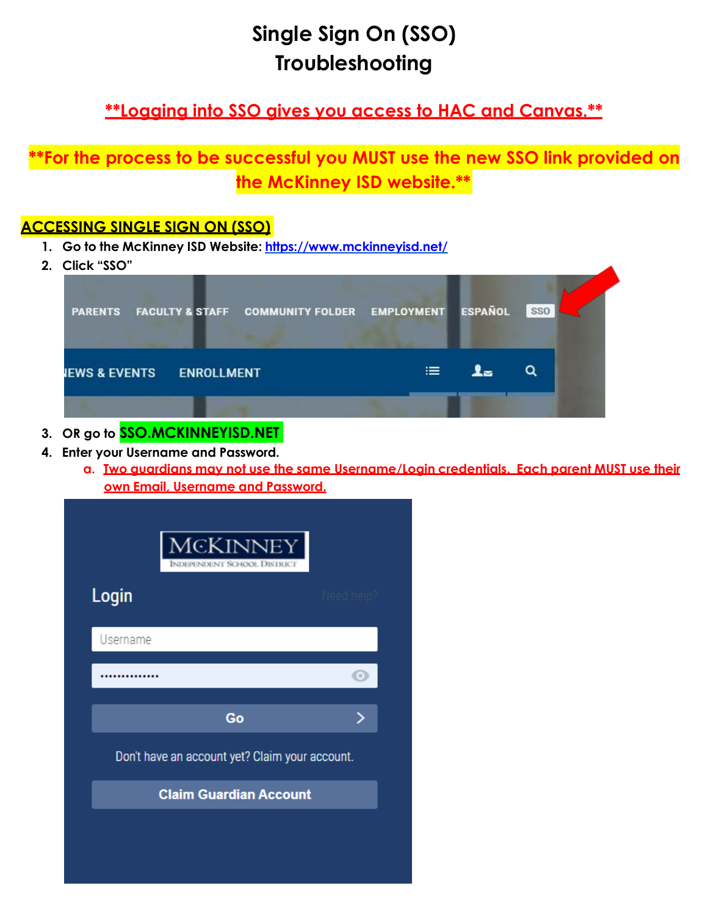# **Single Sign On (SSO) Troubleshooting**

## **\*\*Logging into SSO gives you access to HAC and Canvas.\*\***

### **\*\*For the process to be successful you MUST use the new SSO link provided on the McKinney ISD website.\*\***

#### **ACCESSING SINGLE SIGN ON (SSO)**

- **1. Go to the McKinney ISD Website: <https://www.mckinneyisd.net/>**
- **2. Click "SSO"**

| <b>PARENTS</b>           | <b>FACULTY &amp; STAFF</b> | COMMUNITY FOLDER EMPLOYMENT ESPAÑOL |   | <b>SSO</b> |
|--------------------------|----------------------------|-------------------------------------|---|------------|
| <b>IEWS &amp; EVENTS</b> | <b>ENROLLMENT</b>          |                                     | ≔ |            |

- **3. OR go to SSO.MCKINNEYISD.NET**
- **4. Enter your Username and Password.**
	- **a. Two guardians may not use the same Username/Login credentials. Each parent MUST use their own Email, Username and Password.**

|          | <b>MCKINNEY</b><br><b>INDEPENDENT SCHOOL DISTRICT</b> |            |
|----------|-------------------------------------------------------|------------|
| Login    |                                                       | Need help' |
| Username |                                                       |            |
|          |                                                       |            |
|          | Go                                                    |            |
|          | Don't have an account yet? Claim your account.        |            |
|          | <b>Claim Guardian Account</b>                         |            |
|          |                                                       |            |
|          |                                                       |            |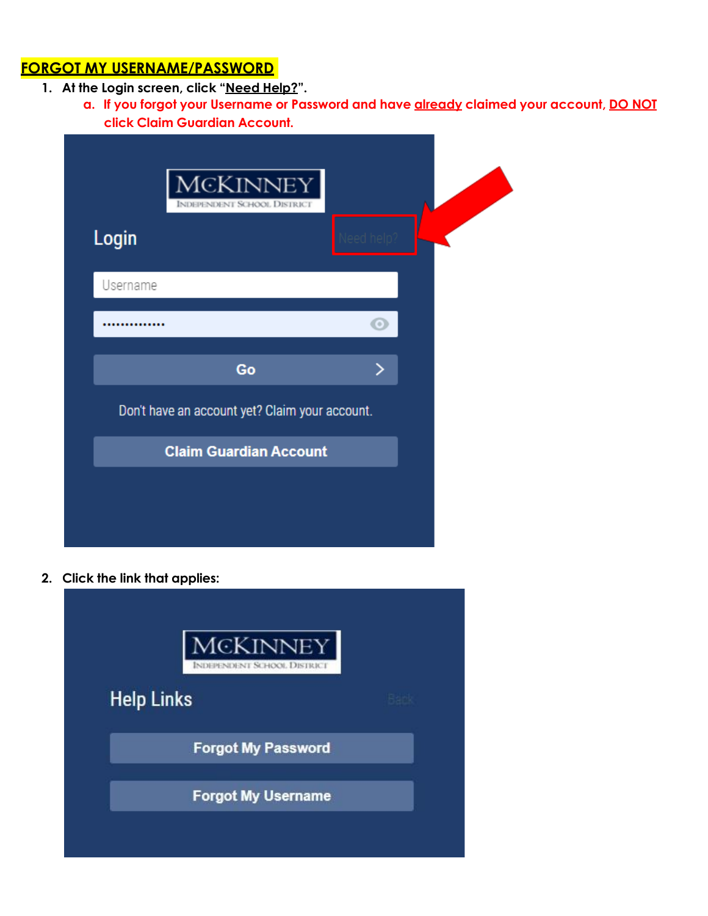#### **FORGOT MY USERNAME/PASSWORD**

- **1. At the Login screen, click "Need Help?".**
	- **a. If you forgot your Username or Password and have already claimed your account, DO NOT click Claim Guardian Account.**

|          | <b>MCKINNEY</b><br><b>INDEPENDENT SCHOOL DISTRICT</b> |          |  |
|----------|-------------------------------------------------------|----------|--|
| Login    |                                                       | eed heln |  |
| Username |                                                       |          |  |
|          | Go                                                    | >        |  |
|          | Don't have an account yet? Claim your account.        |          |  |
|          | <b>Claim Guardian Account</b>                         |          |  |

**2. Click the link that applies:**

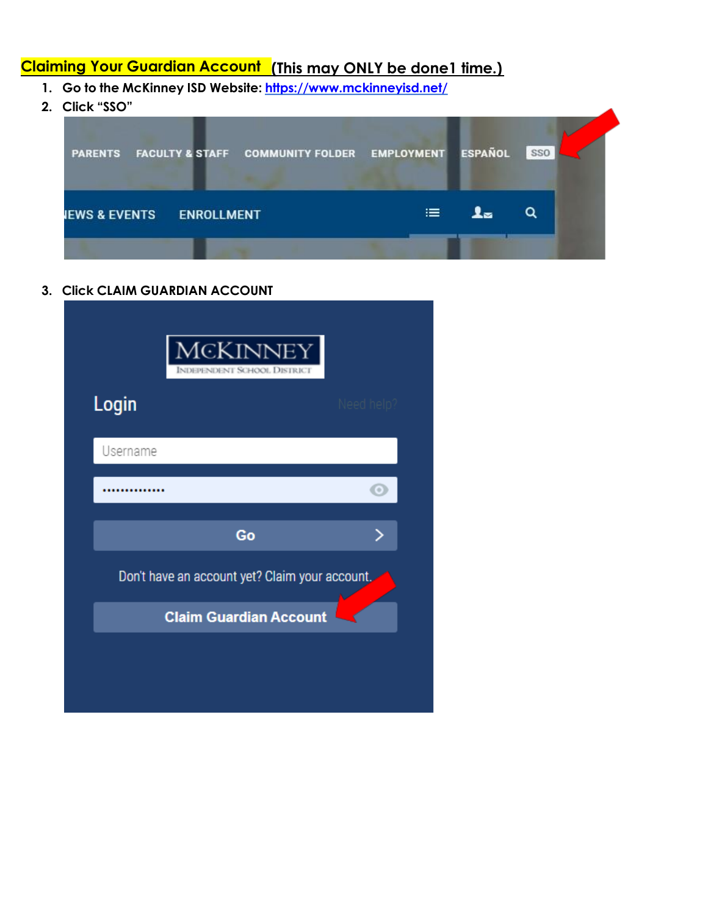### **Claiming Your Guardian Account (This may ONLY be done1 time.)**

- **1. Go to the McKinney ISD Website: <https://www.mckinneyisd.net/>**
- **2. Click "SSO"**



**3. Click CLAIM GUARDIAN ACCOUNT**

| Login    |                                                | Need help |
|----------|------------------------------------------------|-----------|
| Username |                                                |           |
|          |                                                |           |
|          | Go                                             |           |
|          | Don't have an account yet? Claim your account. |           |
|          | <b>Claim Guardian Account</b>                  |           |